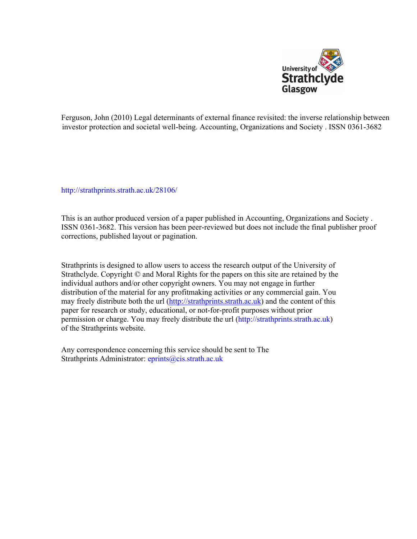

Ferguson, John (2010) Legal determinants of external finance revisited: the inverse relationship between investor protection and societal well-being. Accounting, Organizations and Society . ISSN 0361-3682

[http://strathprints.strath.ac.uk/](http://strathprints.strath.ac.uk/28106/)28106/

This is an author produced version of a paper published in Accounting, Organizations and Society . ISSN 0361-3682. This version has been peer-reviewed but does not include the final publisher proof corrections, published layout or pagination.

Strathprints is designed to allow users to access the research output of the University of Strathclyde. Copyright © and Moral Rights for the papers on this site are retained by the individual authors and/or other copyright owners. You may not engage in further distribution of the material for any profitmaking activities or any commercial gain. You may freely distribute both the url [\(http://strathprints.strath.ac.uk](https://nemo.strath.ac.uk/exchweb/bin/redir.asp?URL=http://eprints.cdlr.strath.ac.uk)) and the content of this paper for research or study, educational, or not-for-profit purposes without prior permission or charge. You may freely distribute the url (http://strathprints.strath.ac.uk) of the Strathprints website.

Any correspondence concerning this service should be sent to The Strathprints Administrator: eprints@cis.strath.ac.uk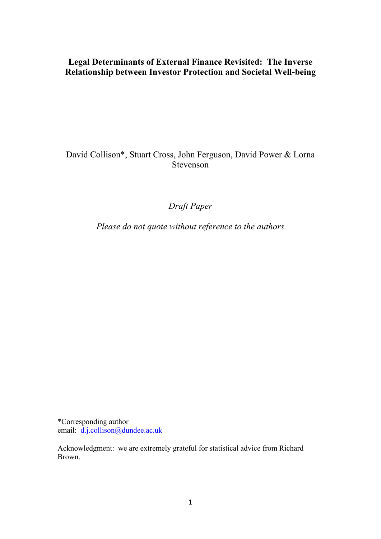# **Legal Determinants of External Finance Revisited: The Inverse Relationship between Investor Protection and Societal Well-being**

# David Collison\*, Stuart Cross, John Ferguson, David Power & Lorna Stevenson

*Draft Paper* 

*Please do not quote without reference to the authors* 

\*Corresponding author email: d.j.collison@dundee.ac.uk

Acknowledgment: we are extremely grateful for statistical advice from Richard Brown.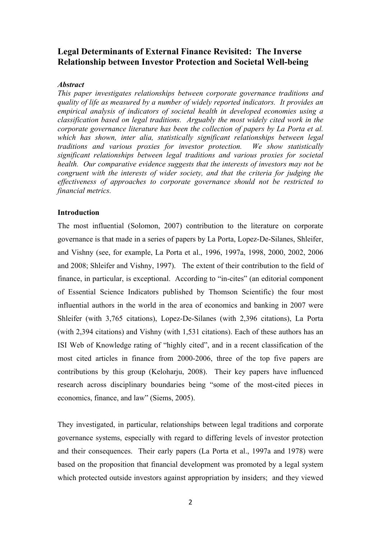# **Legal Determinants of External Finance Revisited: The Inverse Relationship between Investor Protection and Societal Well-being**

### *Abstract*

*This paper investigates relationships between corporate governance traditions and quality of life as measured by a number of widely reported indicators. It provides an empirical analysis of indicators of societal health in developed economies using a classification based on legal traditions. Arguably the most widely cited work in the corporate governance literature has been the collection of papers by La Porta et al. which has shown, inter alia, statistically significant relationships between legal traditions and various proxies for investor protection. We show statistically significant relationships between legal traditions and various proxies for societal health. Our comparative evidence suggests that the interests of investors may not be congruent with the interests of wider society, and that the criteria for judging the effectiveness of approaches to corporate governance should not be restricted to financial metrics.* 

### **Introduction**

The most influential (Solomon, 2007) contribution to the literature on corporate governance is that made in a series of papers by La Porta, Lopez-De-Silanes, Shleifer, and Vishny (see, for example, La Porta et al., 1996, 1997a, 1998, 2000, 2002, 2006 and 2008; Shleifer and Vishny, 1997). The extent of their contribution to the field of finance, in particular, is exceptional. According to "in-cites" (an editorial component of Essential Science Indicators published by Thomson Scientific) the four most influential authors in the world in the area of economics and banking in 2007 were Shleifer (with 3,765 citations), Lopez-De-Silanes (with 2,396 citations), La Porta (with 2,394 citations) and Vishny (with 1,531 citations). Each of these authors has an ISI Web of Knowledge rating of "highly cited", and in a recent classification of the most cited articles in finance from 2000-2006, three of the top five papers are contributions by this group (Keloharju, 2008). Their key papers have influenced research across disciplinary boundaries being "some of the most-cited pieces in economics, finance, and law" (Siems, 2005).

They investigated, in particular, relationships between legal traditions and corporate governance systems, especially with regard to differing levels of investor protection and their consequences. Their early papers (La Porta et al., 1997a and 1978) were based on the proposition that financial development was promoted by a legal system which protected outside investors against appropriation by insiders; and they viewed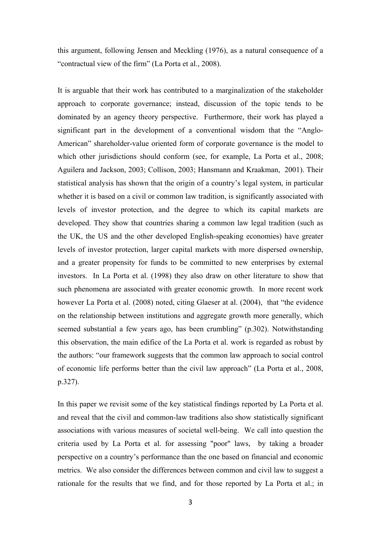this argument, following Jensen and Meckling (1976), as a natural consequence of a "contractual view of the firm" (La Porta et al., 2008).

It is arguable that their work has contributed to a marginalization of the stakeholder approach to corporate governance; instead, discussion of the topic tends to be dominated by an agency theory perspective. Furthermore, their work has played a significant part in the development of a conventional wisdom that the "Anglo-American" shareholder-value oriented form of corporate governance is the model to which other jurisdictions should conform (see, for example, La Porta et al., 2008; Aguilera and Jackson, 2003; Collison, 2003; Hansmann and Kraakman, 2001). Their statistical analysis has shown that the origin of a country's legal system, in particular whether it is based on a civil or common law tradition, is significantly associated with levels of investor protection, and the degree to which its capital markets are developed. They show that countries sharing a common law legal tradition (such as the UK, the US and the other developed English-speaking economies) have greater levels of investor protection, larger capital markets with more dispersed ownership, and a greater propensity for funds to be committed to new enterprises by external investors. In La Porta et al. (1998) they also draw on other literature to show that such phenomena are associated with greater economic growth. In more recent work however La Porta et al. (2008) noted, citing Glaeser at al. (2004), that "the evidence on the relationship between institutions and aggregate growth more generally, which seemed substantial a few years ago, has been crumbling" (p.302). Notwithstanding this observation, the main edifice of the La Porta et al. work is regarded as robust by the authors: "our framework suggests that the common law approach to social control of economic life performs better than the civil law approach" (La Porta et al., 2008, p.327).

In this paper we revisit some of the key statistical findings reported by La Porta et al. and reveal that the civil and common-law traditions also show statistically significant associations with various measures of societal well-being. We call into question the criteria used by La Porta et al. for assessing "poor" laws, by taking a broader perspective on a country's performance than the one based on financial and economic metrics. We also consider the differences between common and civil law to suggest a rationale for the results that we find, and for those reported by La Porta et al.; in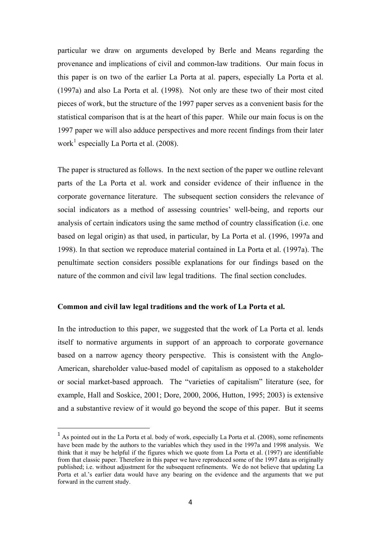particular we draw on arguments developed by Berle and Means regarding the provenance and implications of civil and common-law traditions. Our main focus in this paper is on two of the earlier La Porta at al. papers, especially La Porta et al. (1997a) and also La Porta et al. (1998). Not only are these two of their most cited pieces of work, but the structure of the 1997 paper serves as a convenient basis for the statistical comparison that is at the heart of this paper. While our main focus is on the 1997 paper we will also adduce perspectives and more recent findings from their later work<sup>1</sup> especially La Porta et al. (2008).

The [pa](#page-4-0)per is structured as follows. In the next section of the paper we outline relevant parts of the La Porta et al. work and consider evidence of their influence in the corporate governance literature. The subsequent section considers the relevance of social indicators as a method of assessing countries' well-being, and reports our analysis of certain indicators using the same method of country classification (i.e. one based on legal origin) as that used, in particular, by La Porta et al. (1996, 1997a and 1998). In that section we reproduce material contained in La Porta et al. (1997a). The penultimate section considers possible explanations for our findings based on the nature of the common and civil law legal traditions. The final section concludes.

#### **Common and civil law legal traditions and the work of La Porta et al.**

In the introduction to this paper, we suggested that the work of La Porta et al. lends itself to normative arguments in support of an approach to corporate governance based on a narrow agency theory perspective. This is consistent with the Anglo-American, shareholder value-based model of capitalism as opposed to a stakeholder or social market-based approach. The "varieties of capitalism" literature (see, for example, Hall and Soskice, 2001; Dore, 2000, 2006, Hutton, 1995; 2003) is extensive and a substantive review of it would go beyond the scope of this paper. But it seems

<span id="page-4-0"></span> $<sup>1</sup>$  As pointed out in the La Porta et al. body of work, especially La Porta et al. (2008), some refinements</sup> have been made by the authors to the variables which they used in the 1997a and 1998 analysis. We think that it may be helpful if the figures which we quote from La Porta et al. (1997) are identifiable from that classic paper. Therefore in this paper we have reproduced some of the 1997 data as originally published; i.e. without adjustment for the subsequent refinements. We do not believe that updating La Porta et al.'s earlier data would have any bearing on the evidence and the arguments that we put forward in the current study.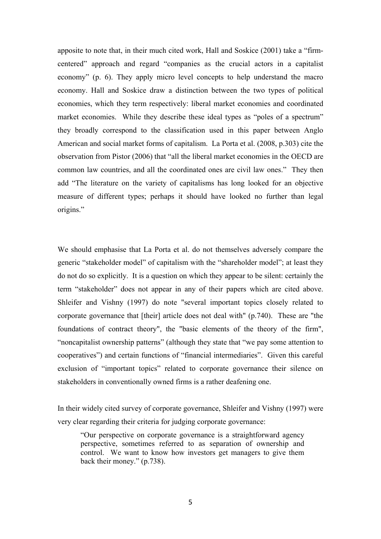apposite to note that, in their much cited work, Hall and Soskice (2001) take a "firmcentered" approach and regard "companies as the crucial actors in a capitalist economy" (p. 6). They apply micro level concepts to help understand the macro economy. Hall and Soskice draw a distinction between the two types of political economies, which they term respectively: liberal market economies and coordinated market economies. While they describe these ideal types as "poles of a spectrum" they broadly correspond to the classification used in this paper between Anglo American and social market forms of capitalism. La Porta et al. (2008, p.303) cite the observation from Pistor (2006) that "all the liberal market economies in the OECD are common law countries, and all the coordinated ones are civil law ones." They then add "The literature on the variety of capitalisms has long looked for an objective measure of different types; perhaps it should have looked no further than legal origins."

We should emphasise that La Porta et al. do not themselves adversely compare the generic "stakeholder model" of capitalism with the "shareholder model"; at least they do not do so explicitly. It is a question on which they appear to be silent: certainly the term "stakeholder" does not appear in any of their papers which are cited above. Shleifer and Vishny (1997) do note "several important topics closely related to corporate governance that [their] article does not deal with" (p.740). These are "the foundations of contract theory", the "basic elements of the theory of the firm", "noncapitalist ownership patterns" (although they state that "we pay some attention to cooperatives") and certain functions of "financial intermediaries". Given this careful exclusion of "important topics" related to corporate governance their silence on stakeholders in conventionally owned firms is a rather deafening one.

In their widely cited survey of corporate governance, Shleifer and Vishny (1997) were very clear regarding their criteria for judging corporate governance:

"Our perspective on corporate governance is a straightforward agency perspective, sometimes referred to as separation of ownership and control. We want to know how investors get managers to give them back their money." (p.738).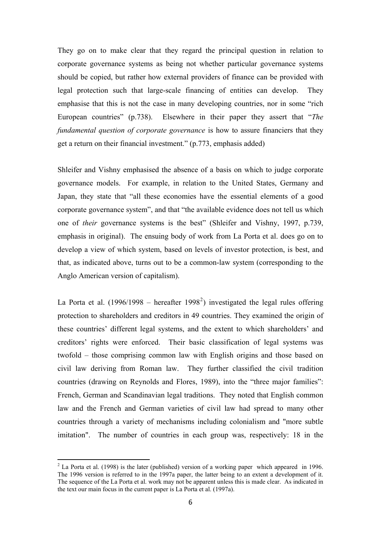<span id="page-6-0"></span>They go on to make clear that they regard the principal question in relation to corporate governance systems as being not whether particular governance systems should be copied, but rather how external providers of finance can be provided with legal protection such that large-scale financing of entities can develop. They emphasise that this is not the case in many developing countries, nor in some "rich European countries" (p.738). Elsewhere in their paper they assert that "*The fundamental question of corporate governance* is how to assure financiers that they get a return on their financial investment." (p.773, emphasis added)

Shleifer and Vishny emphasised the absence of a basis on which to judge corporate governance models. For example, in relation to the United States, Germany and Japan, they state that "all these economies have the essential elements of a good corporate governance system", and that "the available evidence does not tell us which one of *their* governance systems is the best" (Shleifer and Vishny, 1997, p.739, emphasis in original). The ensuing body of work from La Porta et al. does go on to develop a view of which system, based on levels of investor protection, is best, and that, as indicated above, turns out to be a common-law system (corresponding to the Anglo American version of capitalism).

La Porta et al. (1996/1998 – hereafter 1998<sup>2</sup>) investigated the legal rules offering protection to shareholders and creditors in 49 countries. They examined the origin of these countries' different legal systems, and [t](#page-6-0)he extent to which shareholders' and creditors' rights were enforced. Their basic classification of legal systems was twofold – those comprising common law with English origins and those based on civil law deriving from Roman law. They further classified the civil tradition countries (drawing on Reynolds and Flores, 1989), into the "three major families": French, German and Scandinavian legal traditions. They noted that English common law and the French and German varieties of civil law had spread to many other countries through a variety of mechanisms including colonialism and "more subtle imitation". The number of countries in each group was, respectively: 18 in the

 $2^2$  La Porta et al. (1998) is the later (published) version of a working paper which appeared in 1996. The 1996 version is referred to in the 1997a paper, the latter being to an extent a development of it. The sequence of the La Porta et al. work may not be apparent unless this is made clear. As indicated in the text our main focus in the current paper is La Porta et al. (1997a).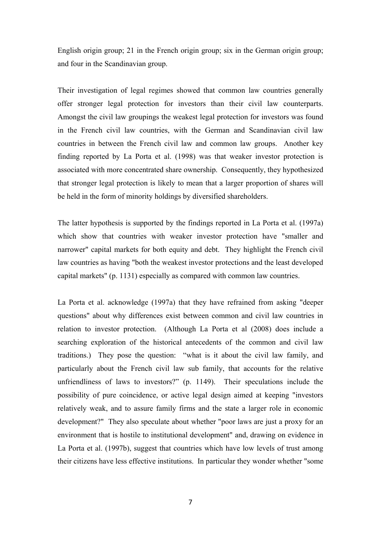English origin group; 21 in the French origin group; six in the German origin group; and four in the Scandinavian group.

Their investigation of legal regimes showed that common law countries generally offer stronger legal protection for investors than their civil law counterparts. Amongst the civil law groupings the weakest legal protection for investors was found in the French civil law countries, with the German and Scandinavian civil law countries in between the French civil law and common law groups. Another key finding reported by La Porta et al. (1998) was that weaker investor protection is associated with more concentrated share ownership. Consequently, they hypothesized that stronger legal protection is likely to mean that a larger proportion of shares will be held in the form of minority holdings by diversified shareholders.

The latter hypothesis is supported by the findings reported in La Porta et al. (1997a) which show that countries with weaker investor protection have "smaller and narrower" capital markets for both equity and debt. They highlight the French civil law countries as having "both the weakest investor protections and the least developed capital markets" (p. 1131) especially as compared with common law countries.

La Porta et al. acknowledge (1997a) that they have refrained from asking "deeper questions" about why differences exist between common and civil law countries in relation to investor protection. (Although La Porta et al (2008) does include a searching exploration of the historical antecedents of the common and civil law traditions.) They pose the question: "what is it about the civil law family, and particularly about the French civil law sub family, that accounts for the relative unfriendliness of laws to investors?" (p. 1149). Their speculations include the possibility of pure coincidence, or active legal design aimed at keeping "investors relatively weak, and to assure family firms and the state a larger role in economic development?" They also speculate about whether "poor laws are just a proxy for an environment that is hostile to institutional development" and, drawing on evidence in La Porta et al. (1997b), suggest that countries which have low levels of trust among their citizens have less effective institutions. In particular they wonder whether "some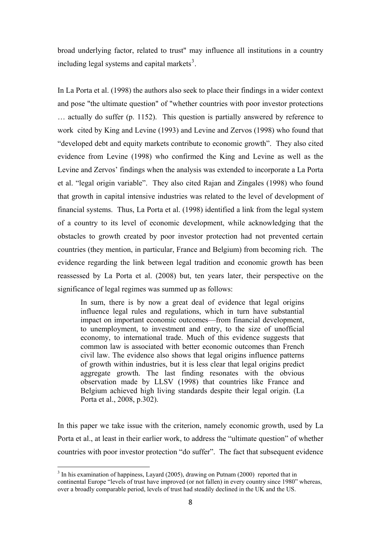<span id="page-8-0"></span>broad underlying factor, related to trust" may influence all institutions in a country including legal systems and capital markets<sup>3</sup>.

In La Porta et al. (1998) the authors also se[ek](#page-8-0) to place their findings in a wider context and pose "the ultimate question" of "whether countries with poor investor protections … actually do suffer (p. 1152). This question is partially answered by reference to work cited by King and Levine (1993) and Levine and Zervos (1998) who found that "developed debt and equity markets contribute to economic growth". They also cited evidence from Levine (1998) who confirmed the King and Levine as well as the Levine and Zervos' findings when the analysis was extended to incorporate a La Porta et al. "legal origin variable". They also cited Rajan and Zingales (1998) who found that growth in capital intensive industries was related to the level of development of financial systems. Thus, La Porta et al. (1998) identified a link from the legal system of a country to its level of economic development, while acknowledging that the obstacles to growth created by poor investor protection had not prevented certain countries (they mention, in particular, France and Belgium) from becoming rich. The evidence regarding the link between legal tradition and economic growth has been reassessed by La Porta et al. (2008) but, ten years later, their perspective on the significance of legal regimes was summed up as follows:

In sum, there is by now a great deal of evidence that legal origins influence legal rules and regulations, which in turn have substantial impact on important economic outcomes—from financial development, to unemployment, to investment and entry, to the size of unofficial economy, to international trade. Much of this evidence suggests that common law is associated with better economic outcomes than French civil law. The evidence also shows that legal origins influence patterns of growth within industries, but it is less clear that legal origins predict aggregate growth. The last finding resonates with the obvious observation made by LLSV (1998) that countries like France and Belgium achieved high living standards despite their legal origin. (La Porta et al., 2008, p.302).

In this paper we take issue with the criterion, namely economic growth, used by La Porta et al., at least in their earlier work, to address the "ultimate question" of whether countries with poor investor protection "do suffer". The fact that subsequent evidence

 $3$  In his examination of happiness, Layard (2005), drawing on Putnam (2000) reported that in continental Europe "levels of trust have improved (or not fallen) in every country since 1980" whereas, over a broadly comparable period, levels of trust had steadily declined in the UK and the US.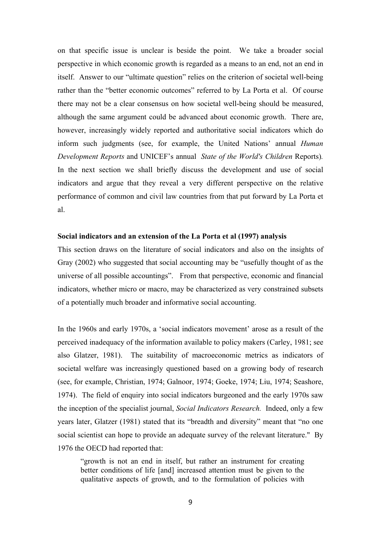on that specific issue is unclear is beside the point. We take a broader social perspective in which economic growth is regarded as a means to an end, not an end in itself. Answer to our "ultimate question" relies on the criterion of societal well-being rather than the "better economic outcomes" referred to by La Porta et al. Of course there may not be a clear consensus on how societal well-being should be measured, although the same argument could be advanced about economic growth. There are, however, increasingly widely reported and authoritative social indicators which do inform such judgments (see, for example, the United Nations' annual *Human Development Reports* and UNICEF's annual *State of the World's Children* Reports)*.*  In the next section we shall briefly discuss the development and use of social indicators and argue that they reveal a very different perspective on the relative performance of common and civil law countries from that put forward by La Porta et al.

#### **Social indicators and an extension of the La Porta et al (1997) analysis**

This section draws on the literature of social indicators and also on the insights of Gray (2002) who suggested that social accounting may be "usefully thought of as the universe of all possible accountings". From that perspective, economic and financial indicators, whether micro or macro, may be characterized as very constrained subsets of a potentially much broader and informative social accounting.

In the 1960s and early 1970s, a 'social indicators movement' arose as a result of the perceived inadequacy of the information available to policy makers (Carley, 1981; see also Glatzer, 1981). The suitability of macroeconomic metrics as indicators of societal welfare was increasingly questioned based on a growing body of research (see, for example, Christian, 1974; Galnoor, 1974; Goeke, 1974; Liu, 1974; Seashore, 1974). The field of enquiry into social indicators burgeoned and the early 1970s saw the inception of the specialist journal, *Social Indicators Research.* Indeed, only a few years later, Glatzer (1981) stated that its "breadth and diversity" meant that "no one social scientist can hope to provide an adequate survey of the relevant literature." By 1976 the OECD had reported that:

"growth is not an end in itself, but rather an instrument for creating better conditions of life [and] increased attention must be given to the qualitative aspects of growth, and to the formulation of policies with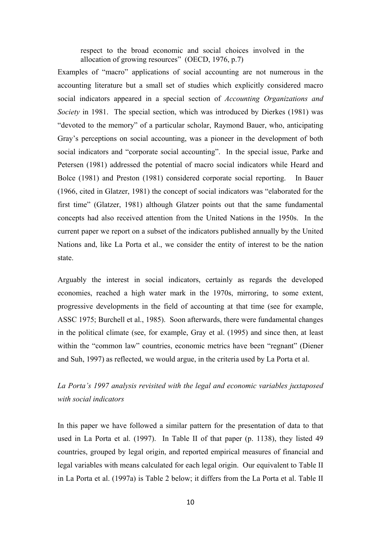respect to the broad economic and social choices involved in the allocation of growing resources" (OECD, 1976, p.7)

Examples of "macro" applications of social accounting are not numerous in the accounting literature but a small set of studies which explicitly considered macro social indicators appeared in a special section of *Accounting Organizations and Society* in 1981. The special section, which was introduced by Dierkes (1981) was "devoted to the memory" of a particular scholar, Raymond Bauer, who, anticipating Gray's perceptions on social accounting, was a pioneer in the development of both social indicators and "corporate social accounting". In the special issue, Parke and Petersen (1981) addressed the potential of macro social indicators while Heard and Bolce (1981) and Preston (1981) considered corporate social reporting. In Bauer (1966, cited in Glatzer, 1981) the concept of social indicators was "elaborated for the first time" (Glatzer, 1981) although Glatzer points out that the same fundamental concepts had also received attention from the United Nations in the 1950s. In the current paper we report on a subset of the indicators published annually by the United Nations and, like La Porta et al., we consider the entity of interest to be the nation state.

Arguably the interest in social indicators, certainly as regards the developed economies, reached a high water mark in the 1970s, mirroring, to some extent, progressive developments in the field of accounting at that time (see for example, ASSC 1975; Burchell et al., 1985). Soon afterwards, there were fundamental changes in the political climate (see, for example, Gray et al. (1995) and since then, at least within the "common law" countries, economic metrics have been "regnant" (Diener and Suh, 1997) as reflected, we would argue, in the criteria used by La Porta et al.

# *La Porta's 1997 analysis revisited with the legal and economic variables juxtaposed with social indicators*

In this paper we have followed a similar pattern for the presentation of data to that used in La Porta et al. (1997). In Table II of that paper (p. 1138), they listed 49 countries, grouped by legal origin, and reported empirical measures of financial and legal variables with means calculated for each legal origin. Our equivalent to Table II in La Porta et al. (1997a) is Table 2 below; it differs from the La Porta et al. Table II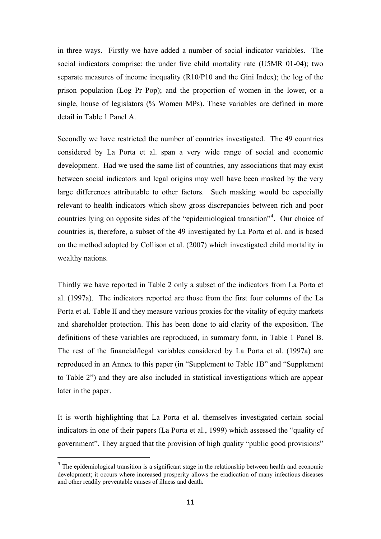<span id="page-11-0"></span>in three ways. Firstly we have added a number of social indicator variables. The social indicators comprise: the under five child mortality rate (U5MR 01-04); two separate measures of income inequality (R10/P10 and the Gini Index); the log of the prison population (Log Pr Pop); and the proportion of women in the lower, or a single, house of legislators (% Women MPs). These variables are defined in more detail in Table 1 Panel A.

Secondly we have restricted the number of countries investigated. The 49 countries considered by La Porta et al. span a very wide range of social and economic development. Had we used the same list of countries, any associations that may exist between social indicators and legal origins may well have been masked by the very large differences attributable to other factors. Such masking would be especially relevant to health indicators which show gross discrepancies between rich and poor countries lying on opposite sides of the "epidemiological transition"<sup>4</sup>. Our choice of countries is, therefore, a subset of the 49 investigated by La Porta et al. and is based on the method adopted by Collison et al. (2007) which investigated [ch](#page-11-0)ild mortality in wealthy nations.

Thirdly we have reported in Table 2 only a subset of the indicators from La Porta et al. (1997a). The indicators reported are those from the first four columns of the La Porta et al. Table II and they measure various proxies for the vitality of equity markets and shareholder protection. This has been done to aid clarity of the exposition. The definitions of these variables are reproduced, in summary form, in Table 1 Panel B. The rest of the financial/legal variables considered by La Porta et al. (1997a) are reproduced in an Annex to this paper (in "Supplement to Table 1B" and "Supplement to Table 2") and they are also included in statistical investigations which are appear later in the paper.

It is worth highlighting that La Porta et al. themselves investigated certain social indicators in one of their papers (La Porta et al., 1999) which assessed the "quality of government". They argued that the provision of high quality "public good provisions"

<sup>&</sup>lt;sup>4</sup> The epidemiological transition is a significant stage in the relationship between health and economic development; it occurs where increased prosperity allows the eradication of many infectious diseases and other readily preventable causes of illness and death.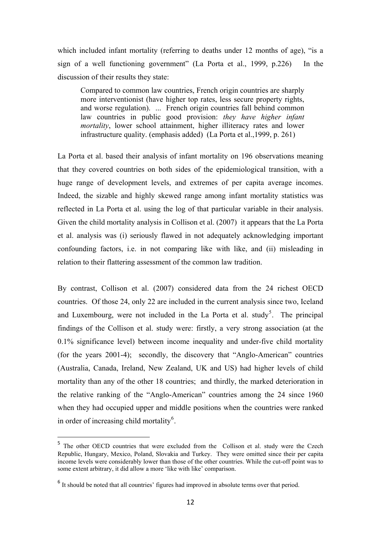<span id="page-12-0"></span>which included infant mortality (referring to deaths under 12 months of age), "is a sign of a well functioning government" (La Porta et al., 1999, p.226) In the discussion of their results they state:

Compared to common law countries, French origin countries are sharply more interventionist (have higher top rates, less secure property rights, and worse regulation). ... French origin countries fall behind common law countries in public good provision: *they have higher infant mortality*, lower school attainment, higher illiteracy rates and lower infrastructure quality. (emphasis added) (La Porta et al.,1999, p. 261)

La Porta et al. based their analysis of infant mortality on 196 observations meaning that they covered countries on both sides of the epidemiological transition, with a huge range of development levels, and extremes of per capita average incomes. Indeed, the sizable and highly skewed range among infant mortality statistics was reflected in La Porta et al. using the log of that particular variable in their analysis. Given the child mortality analysis in Collison et al. (2007) it appears that the La Porta et al. analysis was (i) seriously flawed in not adequately acknowledging important confounding factors, i.e. in not comparing like with like, and (ii) misleading in relation to their flattering assessment of the common law tradition.

By contrast, Collison et al. (2007) considered data from the 24 richest OECD countries. Of those 24, only 22 are included in the current analysis since two, Iceland and Luxembourg, were not included in the La Porta et al. study<sup>5</sup>. The principal findings of the Collison et al. study were: firstly, a very strong association (at the 0.1% significance level) between income inequality and under-fi[ve](#page-12-0) child mortality (for the years 2001-4); secondly, the discovery that "Anglo-American" countries (Australia, Canada, Ireland, New Zealand, UK and US) had higher levels of child mortality than any of the other 18 countries; and thirdly, the marked deterioration in the relative ranking of the "Anglo-American" countries among the 24 since 1960 when they had occupied upper and middle positions when the countries were ranked in order of increasing child mortality<sup>6</sup>.

<sup>5</sup> The other OECD countries that were excluded from the Collison et al. study were the Czech Republic, Hungary, Mexico, Poland, Slova[k](#page-12-0)ia and Turkey. They were omitted since their per capita income levels were considerably lower than those of the other countries. While the cut-off point was to some extent arbitrary, it did allow a more 'like with like' comparison.

<sup>&</sup>lt;sup>6</sup> It should be noted that all countries' figures had improved in absolute terms over that period.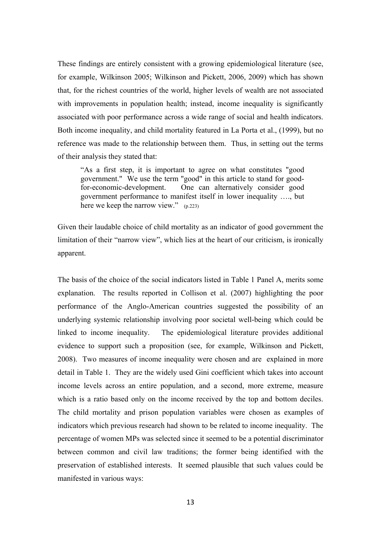These findings are entirely consistent with a growing epidemiological literature (see, for example, Wilkinson 2005; Wilkinson and Pickett, 2006, 2009) which has shown that, for the richest countries of the world, higher levels of wealth are not associated with improvements in population health; instead, income inequality is significantly associated with poor performance across a wide range of social and health indicators. Both income inequality, and child mortality featured in La Porta et al., (1999), but no reference was made to the relationship between them. Thus, in setting out the terms of their analysis they stated that:

"As a first step, it is important to agree on what constitutes "good government." We use the term "good" in this article to stand for goodfor-economic-development. One can alternatively consider good government performance to manifest itself in lower inequality …., but here we keep the narrow view." (p.223)

Given their laudable choice of child mortality as an indicator of good government the limitation of their "narrow view", which lies at the heart of our criticism, is ironically apparent.

The basis of the choice of the social indicators listed in Table 1 Panel A, merits some explanation. The results reported in Collison et al. (2007) highlighting the poor performance of the Anglo-American countries suggested the possibility of an underlying systemic relationship involving poor societal well-being which could be linked to income inequality. The epidemiological literature provides additional evidence to support such a proposition (see, for example, Wilkinson and Pickett, 2008). Two measures of income inequality were chosen and are explained in more detail in Table 1. They are the widely used Gini coefficient which takes into account income levels across an entire population, and a second, more extreme, measure which is a ratio based only on the income received by the top and bottom deciles. The child mortality and prison population variables were chosen as examples of indicators which previous research had shown to be related to income inequality. The percentage of women MPs was selected since it seemed to be a potential discriminator between common and civil law traditions; the former being identified with the preservation of established interests. It seemed plausible that such values could be manifested in various ways: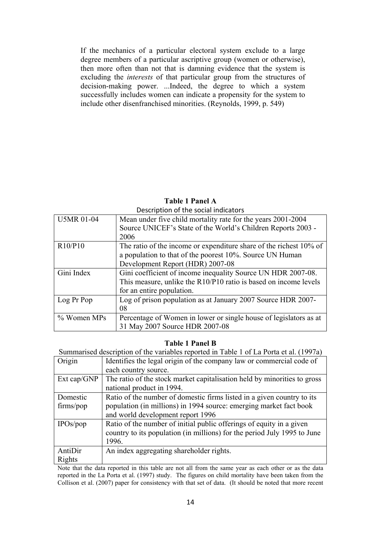If the mechanics of a particular electoral system exclude to a large degree members of a particular ascriptive group (women or otherwise), then more often than not that is damning evidence that the system is excluding the *interests* of that particular group from the structures of decision-making power. ...Indeed, the degree to which a system successfully includes women can indicate a propensity for the system to include other disenfranchised minorities. (Reynolds, 1999, p. 549)

**Table 1 Panel A**  Description of the social indicators

| <b>U5MR 01-04</b>                | Mean under five child mortality rate for the years 2001-2004       |
|----------------------------------|--------------------------------------------------------------------|
|                                  | Source UNICEF's State of the World's Children Reports 2003 -       |
|                                  | 2006                                                               |
| R <sub>10</sub> /P <sub>10</sub> | The ratio of the income or expenditure share of the richest 10% of |
|                                  | a population to that of the poorest 10%. Source UN Human           |
|                                  | Development Report (HDR) 2007-08                                   |
| Gini Index                       | Gini coefficient of income inequality Source UN HDR 2007-08.       |
|                                  | This measure, unlike the R10/P10 ratio is based on income levels   |
|                                  | for an entire population.                                          |
| Log Pr Pop                       | Log of prison population as at January 2007 Source HDR 2007-       |
|                                  | 08                                                                 |
| % Women MPs                      | Percentage of Women in lower or single house of legislators as at  |
|                                  | 31 May 2007 Source HDR 2007-08                                     |

## **Table 1 Panel B**

Summarised description of the variables reported in Table 1 of La Porta et al. (1997a) Origin Identifies the legal origin of the company law or commercial code of each country source. Ext cap/GNP  $\vert$  The ratio of the stock market capitalisation held by minorities to gross national product in 1994. Domestic firms/pop Ratio of the number of domestic firms listed in a given country to its population (in millions) in 1994 source: emerging market fact book and world development report 1996  $IPOs/pop$  Ratio of the number of initial public offerings of equity in a given country to its population (in millions) for the period July 1995 to June 1996. AntiDir Rights An index aggregating shareholder rights.

Note that the data reported in this table are not all from the same year as each other or as the data reported in the La Porta et al. (1997) study. The figures on child mortality have been taken from the Collison et al. (2007) paper for consistency with that set of data. (It should be noted that more recent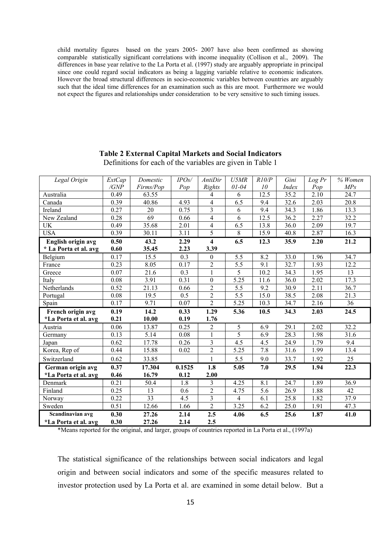child mortality figures based on the years 2005- 2007 have also been confirmed as showing comparable statistically significant correlations with income inequality (Collison et al., 2009). The differences in base year relative to the La Porta et al. (1997) study are arguably appropriate in principal since one could regard social indicators as being a lagging variable relative to economic indicators. However the broad structural differences in socio-economic variables between countries are arguably such that the ideal time differences for an examination such as this are moot. Furthermore we would not expect the figures and relationships under consideration to be very sensitive to such timing issues.

#### *Legal Origin ExtCap /GNP Domestic Firms/Pop IPOs/ Pop AntiDir Rights U5MR 01-04 R10/P 10 Gini Index Log Pr Pop % Women MPs*  Australia 19.49 63.55 4 4 6 12.5 35.2 2.10 24.7 Canada 0.39 40.86 4.93 4 6.5 9.4 32.6 2.03 20.8 Ireland 1.86 | 0.27 | 20 | 0.75 | 3 | 6 | 9.4 | 34.3 | 1.86 | 13.3 New Zealand 0.28 69 0.66 4 6 12.5 36.2 2.27 32.2 UK  $0.49 \t35.68 \t2.01 \t4 \t6.5 \t13.8 \t36.0 \t2.09 \t19.7$ USA 0.39 30.11 3.11 5 8 15.9 40.8 2.87 16.3 **English origin avg 0.50** 43.2 2.29 4 6.5 12.3 35.9 2.20 21.2 <br> **English origin avg 0.60** 35.45 2.23 3.39 **\* La Porta et al. avg 0.60 35.45 2.23 3.39**  Belgium 0.17 15.5 0.3 0 5.5 8.2 33.0 1.96 34.7 France 1. 0.23 8.05 0.17 2 5.5 9.1 32.7 1.93 12.2 Greece 1 0.07 21.6 0.3 1 5 10.2 34.3 1.95 13 Italy 10.08 3.91 0.31 0 5.25 11.6 36.0 2.02 17.3 Netherlands 1 0.52 21.13 0.66 2 5.5 9.2 30.9 2.11 36.7 Portugal 19.5 0.08 19.5 0.5 2.5 15.0 38.5 2.08 21.3 Spain 10.17 9.71 0.07 2 5.25 10.3 34.7 2.16 36 **French origin avg 0.19 14.2 0.33 1.29 5.36 10.5 34.3 2.03 24.5 \*La Porta et al. avg 0.21 10.00 0.19 1.76**  Austria 19.06 13.87 0.25 2 5 6.9 29.1 2.02 32.2 Germany 1.13 5.14 0.08 1 5 6.9 28.3 1.98 31.6 Japan 19.62 17.78 0.26 3 4.5 4.5 24.9 1.79 9.4 Korea, Rep of 0.44 15.88 0.02 2 5.25 7.8 31.6 1.99 13.4 Switzerland 0.62 33.85 1 5.5 9.0 33.7 1.92 25 **German origin avg 0.37 17.304 0.1525 1.8 5.05 7.0 29.5 1.94 22.3 \*La Porta et al. avg 0.46 16.79 0.12 2.00**  Denmark 1 0.21 50.4 1.8 3 4.25 8.1 24.7 1.89 36.9 Finland 10.25 13 0.6 2 4.75 5.6 26.9 1.88 42 Norway 19.22 33 4.5 3 4 6.1 25.8 1.82 37.9 Sweden 1.0.51 | 12.66 | 1.66 | 2 | 3.25 | 6.2 | 25.0 | 1.91 | 47.3 **Scandinavian avg 0.30 27.26 2.14 2.5 4.06 6.5 25.6 1.87 41.0 \*La Porta et al. avg 0.30 27.26 2.14 2.5**

### **Table 2 External Capital Markets and Social Indicators**

Definitions for each of the variables are given in Table 1

\*Means reported for the original, and larger, groups of countries reported in La Porta et al., (1997a)

The statistical significance of the relationships between social indicators and legal origin and between social indicators and some of the specific measures related to investor protection used by La Porta et al. are examined in some detail below. But a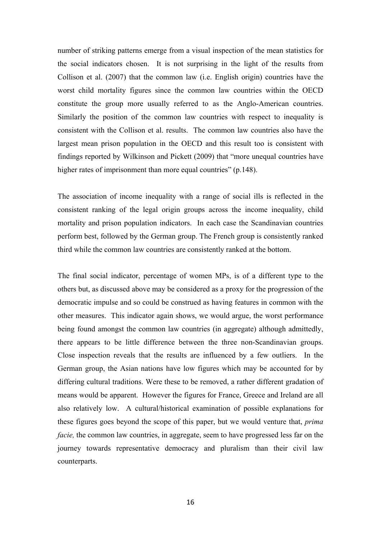number of striking patterns emerge from a visual inspection of the mean statistics for the social indicators chosen. It is not surprising in the light of the results from Collison et al. (2007) that the common law (i.e. English origin) countries have the worst child mortality figures since the common law countries within the OECD constitute the group more usually referred to as the Anglo-American countries. Similarly the position of the common law countries with respect to inequality is consistent with the Collison et al. results. The common law countries also have the largest mean prison population in the OECD and this result too is consistent with findings reported by Wilkinson and Pickett (2009) that "more unequal countries have higher rates of imprisonment than more equal countries" (p.148).

The association of income inequality with a range of social ills is reflected in the consistent ranking of the legal origin groups across the income inequality, child mortality and prison population indicators. In each case the Scandinavian countries perform best, followed by the German group. The French group is consistently ranked third while the common law countries are consistently ranked at the bottom.

The final social indicator, percentage of women MPs, is of a different type to the others but, as discussed above may be considered as a proxy for the progression of the democratic impulse and so could be construed as having features in common with the other measures. This indicator again shows, we would argue, the worst performance being found amongst the common law countries (in aggregate) although admittedly, there appears to be little difference between the three non-Scandinavian groups. Close inspection reveals that the results are influenced by a few outliers. In the German group, the Asian nations have low figures which may be accounted for by differing cultural traditions. Were these to be removed, a rather different gradation of means would be apparent. However the figures for France, Greece and Ireland are all also relatively low. A cultural/historical examination of possible explanations for these figures goes beyond the scope of this paper, but we would venture that, *prima facie*, the common law countries, in aggregate, seem to have progressed less far on the journey towards representative democracy and pluralism than their civil law counterparts.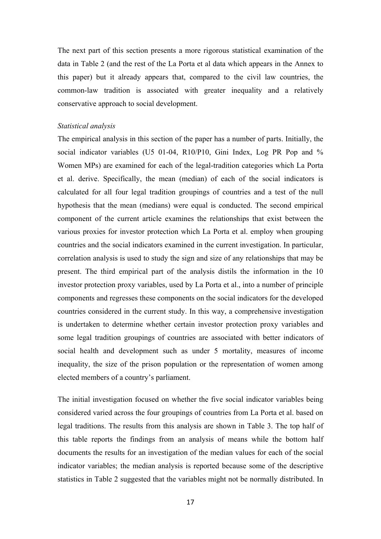The next part of this section presents a more rigorous statistical examination of the data in Table 2 (and the rest of the La Porta et al data which appears in the Annex to this paper) but it already appears that, compared to the civil law countries, the common-law tradition is associated with greater inequality and a relatively conservative approach to social development.

#### *Statistical analysis*

The empirical analysis in this section of the paper has a number of parts. Initially, the social indicator variables (U5 01-04, R10/P10, Gini Index, Log PR Pop and % Women MPs) are examined for each of the legal-tradition categories which La Porta et al. derive. Specifically, the mean (median) of each of the social indicators is calculated for all four legal tradition groupings of countries and a test of the null hypothesis that the mean (medians) were equal is conducted. The second empirical component of the current article examines the relationships that exist between the various proxies for investor protection which La Porta et al. employ when grouping countries and the social indicators examined in the current investigation. In particular, correlation analysis is used to study the sign and size of any relationships that may be present. The third empirical part of the analysis distils the information in the 10 investor protection proxy variables, used by La Porta et al., into a number of principle components and regresses these components on the social indicators for the developed countries considered in the current study. In this way, a comprehensive investigation is undertaken to determine whether certain investor protection proxy variables and some legal tradition groupings of countries are associated with better indicators of social health and development such as under 5 mortality, measures of income inequality, the size of the prison population or the representation of women among elected members of a country's parliament.

The initial investigation focused on whether the five social indicator variables being considered varied across the four groupings of countries from La Porta et al. based on legal traditions. The results from this analysis are shown in Table 3. The top half of this table reports the findings from an analysis of means while the bottom half documents the results for an investigation of the median values for each of the social indicator variables; the median analysis is reported because some of the descriptive statistics in Table 2 suggested that the variables might not be normally distributed. In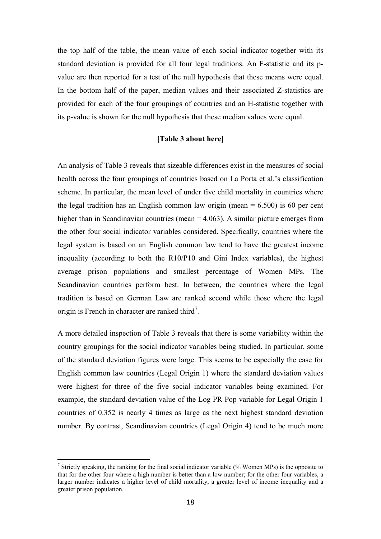<span id="page-18-0"></span>the top half of the table, the mean value of each social indicator together with its standard deviation is provided for all four legal traditions. An F-statistic and its pvalue are then reported for a test of the null hypothesis that these means were equal. In the bottom half of the paper, median values and their associated Z-statistics are provided for each of the four groupings of countries and an H-statistic together with its p-value is shown for the null hypothesis that these median values were equal.

### **[Table 3 about here]**

An analysis of Table 3 reveals that sizeable differences exist in the measures of social health across the four groupings of countries based on La Porta et al.'s classification scheme. In particular, the mean level of under five child mortality in countries where the legal tradition has an English common law origin (mean  $= 6.500$ ) is 60 per cent higher than in Scandinavian countries (mean = 4.063). A similar picture emerges from the other four social indicator variables considered. Specifically, countries where the legal system is based on an English common law tend to have the greatest income inequality (according to both the R10/P10 and Gini Index variables), the highest average prison populations and smallest percentage of Women MPs. The Scandinavian countries perform best. In between, the countries where the legal tradition is based on German Law are ranked second while those where the legal origin is French in character are ranked third<sup>7</sup>.

A more detailed inspection of Table 3 reveals that there is some variability within the country groupings for the social indicator v[ar](#page-18-0)iables being studied. In particular, some of the standard deviation figures were large. This seems to be especially the case for English common law countries (Legal Origin 1) where the standard deviation values were highest for three of the five social indicator variables being examined. For example, the standard deviation value of the Log PR Pop variable for Legal Origin 1 countries of 0.352 is nearly 4 times as large as the next highest standard deviation number. By contrast, Scandinavian countries (Legal Origin 4) tend to be much more

<sup>&</sup>lt;sup>7</sup> Strictly speaking, the ranking for the final social indicator variable (% Women MPs) is the opposite to that for the other four where a high number is better than a low number; for the other four variables, a larger number indicates a higher level of child mortality, a greater level of income inequality and a greater prison population.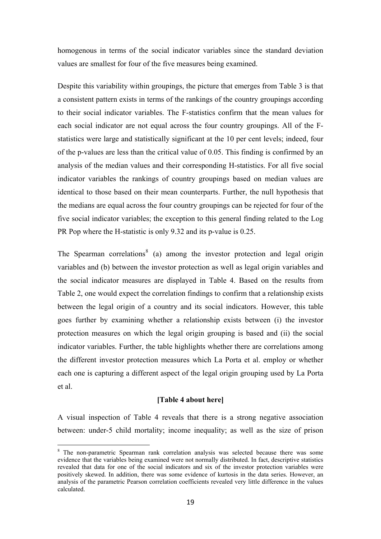<span id="page-19-0"></span>homogenous in terms of the social indicator variables since the standard deviation values are smallest for four of the five measures being examined.

Despite this variability within groupings, the picture that emerges from Table 3 is that a consistent pattern exists in terms of the rankings of the country groupings according to their social indicator variables. The F-statistics confirm that the mean values for each social indicator are not equal across the four country groupings. All of the Fstatistics were large and statistically significant at the 10 per cent levels; indeed, four of the p-values are less than the critical value of 0.05. This finding is confirmed by an analysis of the median values and their corresponding H-statistics. For all five social indicator variables the rankings of country groupings based on median values are identical to those based on their mean counterparts. Further, the null hypothesis that the medians are equal across the four country groupings can be rejected for four of the five social indicator variables; the exception to this general finding related to the Log PR Pop where the H-statistic is only 9.32 and its p-value is 0.25.

The Spearman correlations<sup>8</sup> (a) among the investor protection and legal origin variables and (b) between the investor protection as well as legal origin variables and the social indicator measur[es](#page-19-0) are displayed in Table 4. Based on the results from Table 2, one would expect the correlation findings to confirm that a relationship exists between the legal origin of a country and its social indicators. However, this table goes further by examining whether a relationship exists between (i) the investor protection measures on which the legal origin grouping is based and (ii) the social indicator variables. Further, the table highlights whether there are correlations among the different investor protection measures which La Porta et al. employ or whether each one is capturing a different aspect of the legal origin grouping used by La Porta et al.

### **[Table 4 about here]**

A visual inspection of Table 4 reveals that there is a strong negative association between: under-5 child mortality; income inequality; as well as the size of prison

<sup>&</sup>lt;sup>8</sup> The non-parametric Spearman rank correlation analysis was selected because there was some evidence that the variables being examined were not normally distributed. In fact, descriptive statistics revealed that data for one of the social indicators and six of the investor protection variables were positively skewed. In addition, there was some evidence of kurtosis in the data series. However, an analysis of the parametric Pearson correlation coefficients revealed very little difference in the values calculated.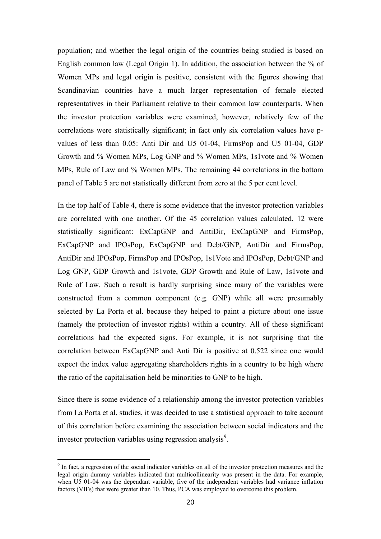<span id="page-20-0"></span>population; and whether the legal origin of the countries being studied is based on English common law (Legal Origin 1). In addition, the association between the % of Women MPs and legal origin is positive, consistent with the figures showing that Scandinavian countries have a much larger representation of female elected representatives in their Parliament relative to their common law counterparts. When the investor protection variables were examined, however, relatively few of the correlations were statistically significant; in fact only six correlation values have pvalues of less than 0.05: Anti Dir and U5 01-04, FirmsPop and U5 01-04, GDP Growth and % Women MPs, Log GNP and % Women MPs, 1s1vote and % Women MPs, Rule of Law and % Women MPs. The remaining 44 correlations in the bottom panel of Table 5 are not statistically different from zero at the 5 per cent level.

In the top half of Table 4, there is some evidence that the investor protection variables are correlated with one another. Of the 45 correlation values calculated, 12 were statistically significant: ExCapGNP and AntiDir, ExCapGNP and FirmsPop, ExCapGNP and IPOsPop, ExCapGNP and Debt/GNP, AntiDir and FirmsPop, AntiDir and IPOsPop, FirmsPop and IPOsPop, 1s1Vote and IPOsPop, Debt/GNP and Log GNP, GDP Growth and 1s1vote, GDP Growth and Rule of Law, 1s1vote and Rule of Law. Such a result is hardly surprising since many of the variables were constructed from a common component (e.g. GNP) while all were presumably selected by La Porta et al. because they helped to paint a picture about one issue (namely the protection of investor rights) within a country. All of these significant correlations had the expected signs. For example, it is not surprising that the correlation between ExCapGNP and Anti Dir is positive at 0.522 since one would expect the index value aggregating shareholders rights in a country to be high where the ratio of the capitalisation held be minorities to GNP to be high.

Since there is some evidence of a relationship among the investor protection variables from La Porta et al. studies, it was decided to use a statistical approach to take account of this correlation before examining the association between social indicators and the investor protection variables using regression analysis $9$ .

<sup>&</sup>lt;sup>9</sup> In fact, a regression of t[he](#page-20-0) social indicator variables on all of the investor protection measures and the legal origin dummy variables indicated that multicollinearity was present in the data. For example, when U5 01-04 was the dependant variable, five of the independent variables had variance inflation factors (VIFs) that were greater than 10. Thus, PCA was employed to overcome this problem.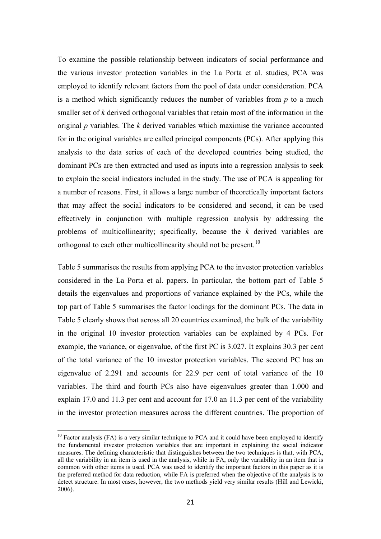<span id="page-21-0"></span>To examine the possible relationship between indicators of social performance and the various investor protection variables in the La Porta et al. studies, PCA was employed to identify relevant factors from the pool of data under consideration. PCA is a method which significantly reduces the number of variables from *p* to a much smaller set of *k* derived orthogonal variables that retain most of the information in the original *p* variables. The *k* derived variables which maximise the variance accounted for in the original variables are called principal components (PCs). After applying this analysis to the data series of each of the developed countries being studied, the dominant PCs are then extracted and used as inputs into a regression analysis to seek to explain the social indicators included in the study. The use of PCA is appealing for a number of reasons. First, it allows a large number of theoretically important factors that may affect the social indicators to be considered and second, it can be used effectively in conjunction with multiple regression analysis by addressing the problems of multicollinearity; specifically, because the *k* derived variables are orthogonal to each other multicollinearity should not be present.<sup>10</sup>

Table 5 summarises the results from applying PCA to the investor protection variables considered in the La Porta et al. papers. In particular, the b[otto](#page-21-0)m part of Table 5 details the eigenvalues and proportions of variance explained by the PCs, while the top part of Table 5 summarises the factor loadings for the dominant PCs. The data in Table 5 clearly shows that across all 20 countries examined, the bulk of the variability in the original 10 investor protection variables can be explained by 4 PCs. For example, the variance, or eigenvalue, of the first PC is 3.027. It explains 30.3 per cent of the total variance of the 10 investor protection variables. The second PC has an eigenvalue of 2.291 and accounts for 22.9 per cent of total variance of the 10 variables. The third and fourth PCs also have eigenvalues greater than 1.000 and explain 17.0 and 11.3 per cent and account for 17.0 an 11.3 per cent of the variability in the investor protection measures across the different countries. The proportion of

 $10$  Factor analysis (FA) is a very similar technique to PCA and it could have been employed to identify the fundamental investor protection variables that are important in explaining the social indicator measures. The defining characteristic that distinguishes between the two techniques is that, with PCA, all the variability in an item is used in the analysis, while in FA, only the variability in an item that is common with other items is used. PCA was used to identify the important factors in this paper as it is the preferred method for data reduction, while FA is preferred when the objective of the analysis is to detect structure. In most cases, however, the two methods yield very similar results (Hill and Lewicki, 2006).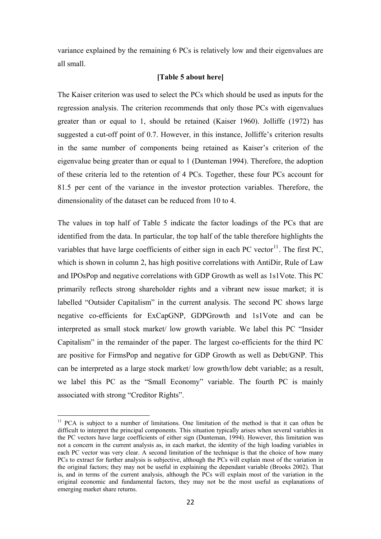<span id="page-22-0"></span>variance explained by the remaining 6 PCs is relatively low and their eigenvalues are all small.

### **[Table 5 about here]**

The Kaiser criterion was used to select the PCs which should be used as inputs for the regression analysis. The criterion recommends that only those PCs with eigenvalues greater than or equal to 1, should be retained (Kaiser 1960). Jolliffe (1972) has suggested a cut-off point of 0.7. However, in this instance, Jolliffe's criterion results in the same number of components being retained as Kaiser's criterion of the eigenvalue being greater than or equal to 1 (Dunteman 1994). Therefore, the adoption of these criteria led to the retention of 4 PCs. Together, these four PCs account for 81.5 per cent of the variance in the investor protection variables. Therefore, the dimensionality of the dataset can be reduced from 10 to 4.

The values in top half of Table 5 indicate the factor loadings of the PCs that are identified from the data. In particular, the top half of the table therefore highlights the variables that have large coefficients of either sign in each PC vector<sup>11</sup>. The first PC, which is shown in column 2, has high positive correlations with AntiDir, Rule of Law and IPOsPop and negative correlations with GDP Growth as well as 1[s1](#page-22-0)Vote. This PC primarily reflects strong shareholder rights and a vibrant new issue market; it is labelled "Outsider Capitalism" in the current analysis. The second PC shows large negative co-efficients for ExCapGNP, GDPGrowth and 1s1Vote and can be interpreted as small stock market/ low growth variable. We label this PC "Insider Capitalism" in the remainder of the paper. The largest co-efficients for the third PC are positive for FirmsPop and negative for GDP Growth as well as Debt/GNP. This can be interpreted as a large stock market/ low growth/low debt variable; as a result, we label this PC as the "Small Economy" variable. The fourth PC is mainly associated with strong "Creditor Rights".

<sup>&</sup>lt;sup>11</sup> PCA is subject to a number of limitations. One limitation of the method is that it can often be difficult to interpret the principal components. This situation typically arises when several variables in the PC vectors have large coefficients of either sign (Dunteman, 1994). However, this limitation was not a concern in the current analysis as, in each market, the identity of the high loading variables in each PC vector was very clear. A second limitation of the technique is that the choice of how many PCs to extract for further analysis is subjective, although the PCs will explain most of the variation in the original factors; they may not be useful in explaining the dependant variable (Brooks 2002). That is, and in terms of the current analysis, although the PCs will explain most of the variation in the original economic and fundamental factors, they may not be the most useful as explanations of emerging market share returns.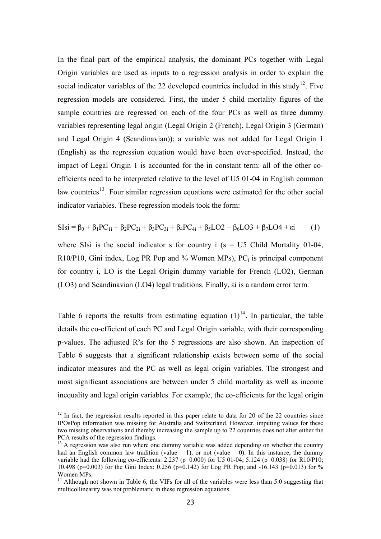<span id="page-23-0"></span>In the final part of the empirical analysis, the dominant PCs together with Legal Origin variables are used as inputs to a regression analysis in order to explain the social indicator variables of the 22 developed countries included in this study<sup>12</sup>. Five regression models are considered. First, the under 5 child mortality figures of the sample countries are regressed on each of the four PCs as well as three [du](#page-23-0)mmy variables representing legal origin (Legal Origin 2 (French), Legal Origin 3 (German) and Legal Origin 4 (Scandinavian)); a variable was not added for Legal Origin 1 (English) as the regression equation would have been over-specified. Instead, the impact of Legal Origin 1 is accounted for the in constant term: all of the other coefficients need to be interpreted relative to the level of U5 01-04 in English common law countries<sup>13</sup>. Four similar regression equations were estimated for the other social indicator variables. These regression models took the form:

$$
SIsi = \beta_0 + \beta_1 PC_{1i} + \beta_2 PC_{2i} + \beta_3 PC_{3i} + \beta_4 PC_{4i} + \beta_5 LO2 + \beta_6 LO3 + \beta_7 LO4 + \varepsilon i
$$
 (1)

where SIsi is the social indicator s for country i  $(s = U5)$  Child Mortality 01-04,  $R10/P10$ , Gini index, Log PR Pop and % Women MPs), PC is principal component for country i, LO is the Legal Origin dummy variable for French (LO2), German (LO3) and Scandinavian (LO4) legal traditions. Finally, εi is a random error term.

Table 6 reports the results from estimating equation  $(1)^{14}$ . In particular, the table details the co-efficient of each PC and Legal Origin variable, with their corresponding p-values. The adjusted R²s for the 5 regressions are als[o s](#page-23-0)hown. An inspection of Table 6 suggests that a significant relationship exists between some of the social indicator measures and the PC as well as legal origin variables. The strongest and most significant associations are between under 5 child mortality as well as income inequality and legal origin variables. For example, the co-efficients for the legal origin

 $12$  In fact, the regression results reported in this paper relate to data for 20 of the 22 countries since IPOsPop information was missing for Australia and Switzerland. However, imputing values for these two missing observations and thereby increasing the sample up to 22 countries does not alter either the PCA results of the regression findings.

 $<sup>13</sup>$  A regression was also run where one dummy variable was added depending on whether the country</sup> had an English common law tradition (value  $= 1$ ), or not (value  $= 0$ ). In this instance, the dummy variable had the following co-efficients:  $2.237$  (p=0.000) for U5 01-04;  $5.124$  (p=0.038) for R10/P10; 10.498 (p=0.003) for the Gini Index; 0.256 (p=0.142) for Log PR Pop; and -16.143 (p=0.013) for % Women MPs.

<sup>&</sup>lt;sup>14</sup> Although not shown in Table 6, the VIFs for all of the variables were less than 5.0 suggesting that multicollinearity was not problematic in these regression equations.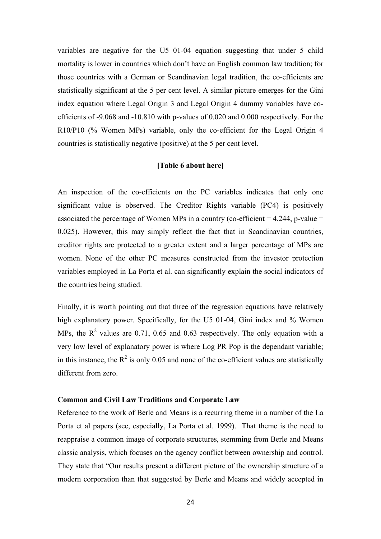variables are negative for the U5 01-04 equation suggesting that under 5 child mortality is lower in countries which don't have an English common law tradition; for those countries with a German or Scandinavian legal tradition, the co-efficients are statistically significant at the 5 per cent level. A similar picture emerges for the Gini index equation where Legal Origin 3 and Legal Origin 4 dummy variables have coefficients of -9.068 and -10.810 with p-values of 0.020 and 0.000 respectively. For the R10/P10 (% Women MPs) variable, only the co-efficient for the Legal Origin 4 countries is statistically negative (positive) at the 5 per cent level.

### **[Table 6 about here]**

An inspection of the co-efficients on the PC variables indicates that only one significant value is observed. The Creditor Rights variable (PC4) is positively associated the percentage of Women MPs in a country (co-efficient  $= 4.244$ , p-value  $=$ 0.025). However, this may simply reflect the fact that in Scandinavian countries, creditor rights are protected to a greater extent and a larger percentage of MPs are women. None of the other PC measures constructed from the investor protection variables employed in La Porta et al. can significantly explain the social indicators of the countries being studied.

Finally, it is worth pointing out that three of the regression equations have relatively high explanatory power. Specifically, for the U5 01-04, Gini index and % Women MPs, the  $\mathbb{R}^2$  values are 0.71, 0.65 and 0.63 respectively. The only equation with a very low level of explanatory power is where Log PR Pop is the dependant variable; in this instance, the  $R^2$  is only 0.05 and none of the co-efficient values are statistically different from zero.

#### **Common and Civil Law Traditions and Corporate Law**

Reference to the work of Berle and Means is a recurring theme in a number of the La Porta et al papers (see, especially, La Porta et al. 1999). That theme is the need to reappraise a common image of corporate structures, stemming from Berle and Means classic analysis, which focuses on the agency conflict between ownership and control. They state that "Our results present a different picture of the ownership structure of a modern corporation than that suggested by Berle and Means and widely accepted in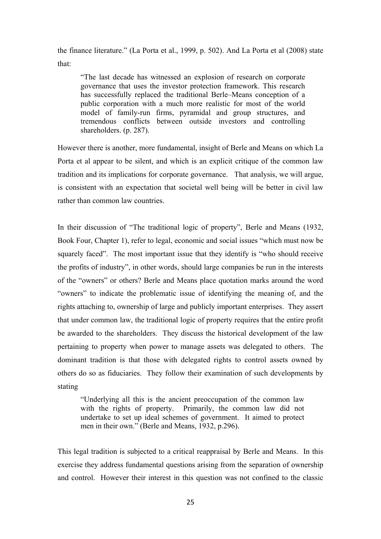the finance literature." (La Porta et al., 1999, p. 502). And La Porta et al (2008) state that:

"The last decade has witnessed an explosion of research on corporate governance that uses the investor protection framework. This research has successfully replaced the traditional Berle–Means conception of a public corporation with a much more realistic for most of the world model of family-run firms, pyramidal and group structures, and tremendous conflicts between outside investors and controlling shareholders. (p. 287).

However there is another, more fundamental, insight of Berle and Means on which La Porta et al appear to be silent, and which is an explicit critique of the common law tradition and its implications for corporate governance. That analysis, we will argue, is consistent with an expectation that societal well being will be better in civil law rather than common law countries.

In their discussion of "The traditional logic of property", Berle and Means (1932, Book Four, Chapter 1), refer to legal, economic and social issues "which must now be squarely faced". The most important issue that they identify is "who should receive the profits of industry", in other words, should large companies be run in the interests of the "owners" or others? Berle and Means place quotation marks around the word "owners" to indicate the problematic issue of identifying the meaning of, and the rights attaching to, ownership of large and publicly important enterprises. They assert that under common law, the traditional logic of property requires that the entire profit be awarded to the shareholders. They discuss the historical development of the law pertaining to property when power to manage assets was delegated to others. The dominant tradition is that those with delegated rights to control assets owned by others do so as fiduciaries. They follow their examination of such developments by stating

"Underlying all this is the ancient preoccupation of the common law with the rights of property. Primarily, the common law did not undertake to set up ideal schemes of government. It aimed to protect men in their own." (Berle and Means, 1932, p.296).

This legal tradition is subjected to a critical reappraisal by Berle and Means. In this exercise they address fundamental questions arising from the separation of ownership and control. However their interest in this question was not confined to the classic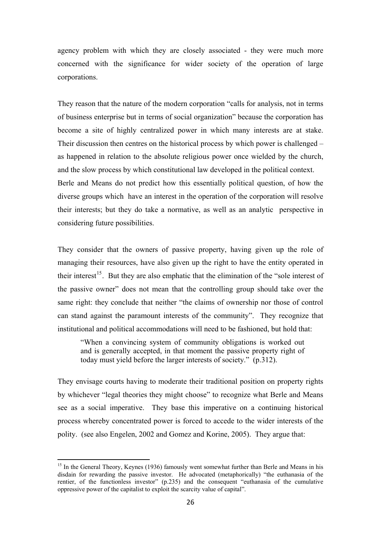<span id="page-26-0"></span>agency problem with which they are closely associated - they were much more concerned with the significance for wider society of the operation of large corporations.

They reason that the nature of the modern corporation "calls for analysis, not in terms of business enterprise but in terms of social organization" because the corporation has become a site of highly centralized power in which many interests are at stake. Their discussion then centres on the historical process by which power is challenged – as happened in relation to the absolute religious power once wielded by the church, and the slow process by which constitutional law developed in the political context. Berle and Means do not predict how this essentially political question, of how the diverse groups which have an interest in the operation of the corporation will resolve their interests; but they do take a normative, as well as an analytic perspective in considering future possibilities.

They consider that the owners of passive property, having given up the role of managing their resources, have also given up the right to have the entity operated in their interest<sup>15</sup>. But they are also emphatic that the elimination of the "sole interest of the passive owner" does not mean that the controlling group should take over the same right: [the](#page-26-0)y conclude that neither "the claims of ownership nor those of control can stand against the paramount interests of the community". They recognize that institutional and political accommodations will need to be fashioned, but hold that:

"When a convincing system of community obligations is worked out and is generally accepted, in that moment the passive property right of today must yield before the larger interests of society." (p.312).

They envisage courts having to moderate their traditional position on property rights by whichever "legal theories they might choose" to recognize what Berle and Means see as a social imperative. They base this imperative on a continuing historical process whereby concentrated power is forced to accede to the wider interests of the polity. (see also Engelen, 2002 and Gomez and Korine, 2005). They argue that:

<sup>&</sup>lt;sup>15</sup> In the General Theory, Keynes (1936) famously went somewhat further than Berle and Means in his disdain for rewarding the passive investor. He advocated (metaphorically) "the euthanasia of the rentier, of the functionless investor" (p.235) and the consequent "euthanasia of the cumulative oppressive power of the capitalist to exploit the scarcity value of capital".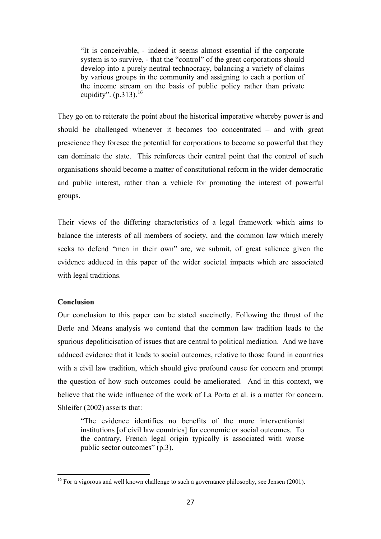<span id="page-27-0"></span>"It is conceivable, - indeed it seems almost essential if the corporate system is to survive, - that the "control" of the great corporations should develop into a purely neutral technocracy, balancing a variety of claims by various groups in the community and assigning to each a portion of the income stream on the basis of public policy rather than private cupidity". (p.313).<sup>16</sup>

They go on to reiterate the point about the historical imperative whereby power is and should be challenged [whe](#page-27-0)never it becomes too concentrated – and with great prescience they foresee the potential for corporations to become so powerful that they can dominate the state. This reinforces their central point that the control of such organisations should become a matter of constitutional reform in the wider democratic and public interest, rather than a vehicle for promoting the interest of powerful groups.

Their views of the differing characteristics of a legal framework which aims to balance the interests of all members of society, and the common law which merely seeks to defend "men in their own" are, we submit, of great salience given the evidence adduced in this paper of the wider societal impacts which are associated with legal traditions.

#### **Conclusion**

Our conclusion to this paper can be stated succinctly. Following the thrust of the Berle and Means analysis we contend that the common law tradition leads to the spurious depoliticisation of issues that are central to political mediation. And we have adduced evidence that it leads to social outcomes, relative to those found in countries with a civil law tradition, which should give profound cause for concern and prompt the question of how such outcomes could be ameliorated. And in this context, we believe that the wide influence of the work of La Porta et al. is a matter for concern. Shleifer (2002) asserts that:

"The evidence identifies no benefits of the more interventionist institutions [of civil law countries] for economic or social outcomes. To the contrary, French legal origin typically is associated with worse public sector outcomes" (p.3).

 $16$  For a vigorous and well known challenge to such a governance philosophy, see Jensen (2001).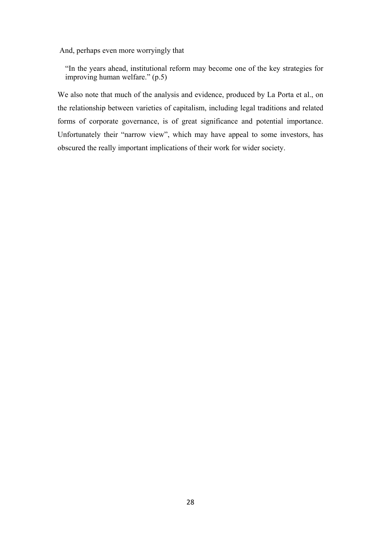And, perhaps even more worryingly that

"In the years ahead, institutional reform may become one of the key strategies for improving human welfare." (p.5)

We also note that much of the analysis and evidence, produced by La Porta et al., on the relationship between varieties of capitalism, including legal traditions and related forms of corporate governance, is of great significance and potential importance. Unfortunately their "narrow view", which may have appeal to some investors, has obscured the really important implications of their work for wider society.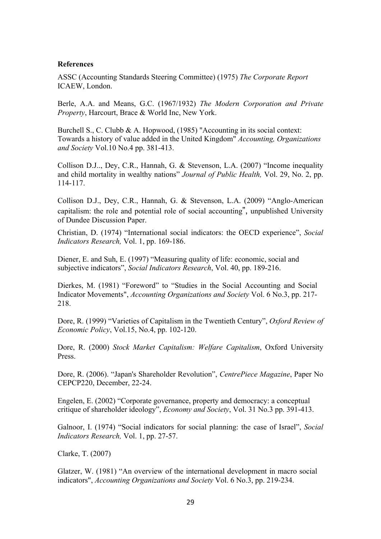### **References**

ASSC (Accounting Standards Steering Committee) (1975) *The Corporate Report* ICAEW, London.

Berle, A.A. and Means, G.C. (1967/1932) *The Modern Corporation and Private Property*, Harcourt, Brace & World Inc, New York.

Burchell S., C. Clubb & A. Hopwood, (1985) "Accounting in its social context: Towards a history of value added in the United Kingdom" *Accounting, Organizations and Society* Vol.10 No.4 pp. 381-413.

Collison D.J.., Dey, C.R., Hannah, G. & Stevenson, L.A. (2007) "Income inequality and child mortality in wealthy nations" *Journal of Public Health,* Vol. 29, No. 2, pp. 114-117.

Collison D.J., Dey, C.R., Hannah, G. & Stevenson, L.A. (2009) "Anglo-American capitalism: the role and potential role of social accounting", unpublished University of Dundee Discussion Paper.

Christian, D. (1974) "International social indicators: the OECD experience", *Social Indicators Research,* Vol. 1, pp. 169-186.

Diener, E. and Suh, E. (1997) "Measuring quality of life: economic, social and subjective indicators", *Social Indicators Research*, Vol. 40, pp. 189-216.

Dierkes, M. (1981) "Foreword" to "Studies in the Social Accounting and Social Indicator Movements", *Accounting Organizations and Society* Vol. 6 No.3, pp. 217- 218.

Dore, R. (1999) "Varieties of Capitalism in the Twentieth Century", *Oxford Review of Economic Policy*, Vol.15, No.4, pp. 102-120.

Dore, R. (2000) *Stock Market Capitalism: Welfare Capitalism*, Oxford University Press.

Dore, R. (2006). "Japan's Shareholder Revolution", *CentrePiece Magazine*, Paper No CEPCP220, December, 22-24.

Engelen, E. (2002) "Corporate governance, property and democracy: a conceptual critique of shareholder ideology", *Economy and Society*, Vol. 31 No.3 pp. 391-413.

Galnoor, I. (1974) "Social indicators for social planning: the case of Israel", *Social Indicators Research,* Vol. 1, pp. 27-57.

Clarke, T. (2007)

Glatzer, W. (1981) "An overview of the international development in macro social indicators", *Accounting Organizations and Society* Vol. 6 No.3, pp. 219-234.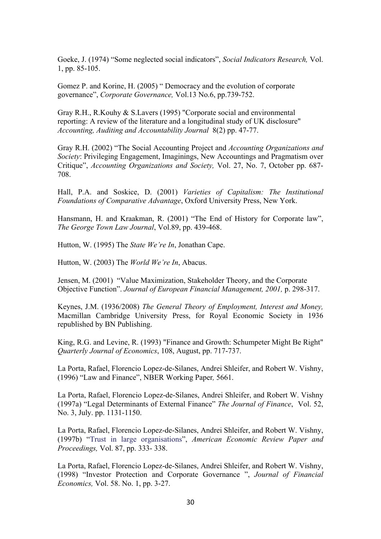Goeke, J. (1974) "Some neglected social indicators", *Social Indicators Research,* Vol. 1, pp. 85-105.

Gomez P. and Korine, H. (2005) " Democracy and the evolution of corporate governance", *Corporate Governance,* Vol.13 No.6, pp.739-752.

Gray R.H., R.Kouhy & S.Lavers (1995) "Corporate social and environmental reporting: A review of the literature and a longitudinal study of UK disclosure" *Accounting, Auditing and Accountability Journal* 8(2) pp. 47-77.

Gray R.H. (2002) "The Social Accounting Project and *Accounting Organizations and Society*: Privileging Engagement, Imaginings, New Accountings and Pragmatism over Critique", *Accounting Organizations and Society,* Vol. 27, No. 7, October pp. 687- 708.

Hall, P.A. and Soskice, D. (2001) *Varieties of Capitalism: The Institutional Foundations of Comparative Advantage*, Oxford University Press, New York.

Hansmann, H. and Kraakman, R. (2001) "The End of History for Corporate law", *The George Town Law Journal*, Vol.89, pp. 439-468.

Hutton, W. (1995) The *State We're In*, Jonathan Cape.

Hutton, W. (2003) The *World We're In*, Abacus.

Jensen, M. (2001) "Value Maximization, Stakeholder Theory, and the Corporate Objective Function". *Journal of European Financial Management, 2001,* p. 298-317.

Keynes, J.M. (1936/2008) *The General Theory of Employment, Interest and Money,*  Macmillan Cambridge University Press, for Royal Economic Society in 1936 republished by BN Publishing.

King, R.G. and Levine, R. (1993) "Finance and Growth: Schumpeter Might Be Right" *Quarterly Journal of Economics*, 108, August, pp. 717-737.

La Porta, Rafael, Florencio Lopez-de-Silanes, Andrei Shleifer, and Robert W. Vishny, (1996) "Law and Finance", NBER Working Paper*,* 5661.

La Porta, Rafael, Florencio Lopez-de-Silanes, Andrei Shleifer, and Robert W. Vishny (1997a) "Legal Determinants of External Finance" *The Journal of Finance*, Vol. 52, No. 3, July. pp. 1131-1150.

La Porta, Rafael, Florencio Lopez-de-Silanes, Andrei Shleifer, and Robert W. Vishny, (1997b) "Trust in large organisations", *American Economic Review Paper and Proceedings,* Vol. 87, pp. 333- 338.

La Porta, Rafael, Florencio Lopez-de-Silanes, Andrei Shleifer, and Robert W. Vishny, (1998) "Investor Protection and Corporate Governance ", *Journal of Financial Economics,* Vol. 58. No. 1, pp. 3-27.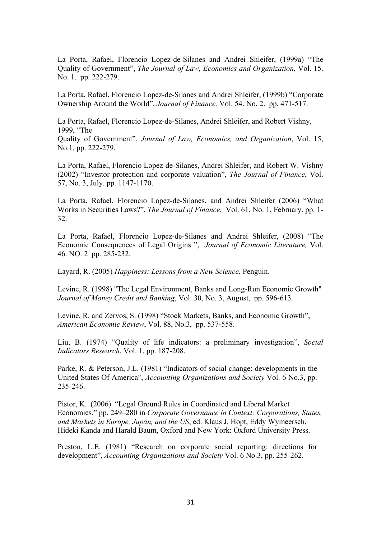La Porta, Rafael, Florencio Lopez-de-Silanes and Andrei Shleifer, (1999a) "The Quality of Government", *The Journal of Law, Economics and Organization,* Vol. 15. No. 1. pp. 222-279.

La Porta, Rafael, Florencio Lopez-de-Silanes and Andrei Shleifer, (1999b) "Corporate Ownership Around the World", *Journal of Finance,* Vol. 54. No. 2. pp. 471-517.

La Porta, Rafael, Florencio Lopez-de-Silanes, Andrei Shleifer, and Robert Vishny, 1999, "The

Quality of Government", *Journal of Law, Economics, and Organization*, Vol. 15, No.1, pp. 222-279.

La Porta, Rafael, Florencio Lopez-de-Silanes, Andrei Shleifer, and Robert W. Vishny (2002) "Investor protection and corporate valuation", *The Journal of Finance*, Vol. 57, No. 3, July. pp. 1147-1170.

La Porta, Rafael, Florencio Lopez-de-Silanes, and Andrei Shleifer (2006) "What Works in Securities Laws?", *The Journal of Finance*, Vol. 61, No. 1, February. pp. 1- 32.

La Porta, Rafael, Florencio Lopez-de-Silanes and Andrei Shleifer, (2008) "The Economic Consequences of Legal Origins ", *Journal of Economic Literature,* Vol. 46. NO. 2 pp. 285-232.

Layard, R. (2005) *Happiness: Lessons from a New Science*, Penguin.

Levine, R. (1998) "The Legal Environment, Banks and Long-Run Economic Growth" *Journal of Money Credit and Banking*, Vol. 30, No. 3, August, pp. 596-613.

Levine, R. and Zervos, S. (1998) "Stock Markets, Banks, and Economic Growth", *American Economic Review*, Vol. 88, No.3, pp. 537-558.

Liu, B. (1974) "Quality of life indicators: a preliminary investigation", *Social Indicators Research*, Vol. 1, pp. 187-208.

Parke, R. & Peterson, J.L. (1981) "Indicators of social change: developments in the United States Of America", *Accounting Organizations and Society* Vol. 6 No.3, pp. 235-246.

Pistor, K. (2006) "Legal Ground Rules in Coordinated and Liberal Market Economies." pp. 249–280 in *Corporate Governance in Context: Corporations, States, and Markets in Europe, Japan, and the US*, ed. Klaus J. Hopt, Eddy Wymeersch, Hideki Kanda and Harald Baum, Oxford and New York: Oxford University Press.

Preston, L.E. (1981) "Research on corporate social reporting: directions for development", *Accounting Organizations and Society* Vol. 6 No.3, pp. 255-262.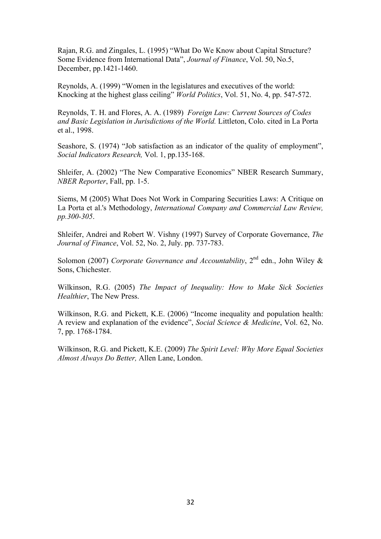Rajan, R.G. and Zingales, L. (1995) "What Do We Know about Capital Structure? Some Evidence from International Data", *Journal of Finance*, Vol. 50, No.5, December, pp.1421-1460.

Reynolds, A. (1999) "Women in the legislatures and executives of the world: Knocking at the highest glass ceiling" *World Politics*, Vol. 51, No. 4, pp. 547-572.

Reynolds, T. H. and Flores, A. A. (1989) *Foreign Law: Current Sources of Codes and Basic Legislation in Jurisdictions of the World.* Littleton, Colo. cited in La Porta et al., 1998.

Seashore, S. (1974) "Job satisfaction as an indicator of the quality of employment", *Social Indicators Research,* Vol. 1, pp.135-168.

Shleifer, A. (2002) "The New Comparative Economics" NBER Research Summary, *NBER Reporter*, Fall, pp. 1-5.

Siems, M (2005) What Does Not Work in Comparing Securities Laws: A Critique on La Porta et al.'s Methodology, *International Company and Commercial Law Review, pp.300-305*.

Shleifer, Andrei and Robert W. Vishny (1997) Survey of Corporate Governance, *The Journal of Finance*, Vol. 52, No. 2, July. pp. 737-783.

Solomon (2007) *Corporate Governance and Accountability*, 2<sup>nd</sup> edn., John Wiley & Sons, Chichester.

Wilkinson, R.G. (2005) *The Impact of Inequality: How to Make Sick Societies Healthier*, The New Press.

Wilkinson, R.G. and Pickett, K.E. (2006) "Income inequality and population health: A review and explanation of the evidence", *Social Science & Medicine*, Vol. 62, No. 7, pp. 1768-1784.

Wilkinson, R.G. and Pickett, K.E. (2009) *The Spirit Level: Why More Equal Societies Almost Always Do Better,* Allen Lane, London.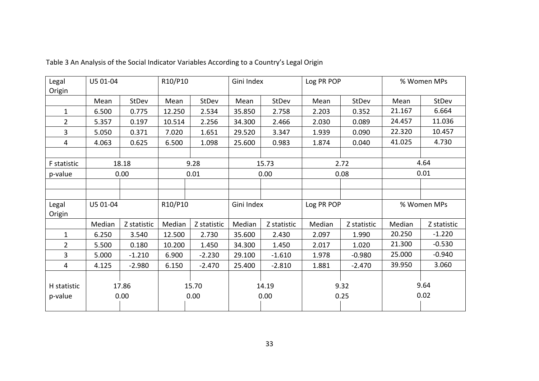| Legal          | U5 01-04 |             | R10/P10 |             | Gini Index |              | Log PR POP |             | % Women MPs |             |  |  |
|----------------|----------|-------------|---------|-------------|------------|--------------|------------|-------------|-------------|-------------|--|--|
| Origin         |          |             |         |             |            |              |            |             |             |             |  |  |
|                | Mean     | StDev       | Mean    | StDev       | Mean       | <b>StDev</b> | Mean       | StDev       | Mean        | StDev       |  |  |
| $\mathbf{1}$   | 6.500    | 0.775       | 12.250  | 2.534       | 35.850     | 2.758        | 2.203      | 0.352       | 21.167      | 6.664       |  |  |
| $\overline{2}$ | 5.357    | 0.197       | 10.514  | 2.256       | 34.300     | 2.466        | 2.030      | 0.089       | 24.457      | 11.036      |  |  |
| 3              | 5.050    | 0.371       | 7.020   | 1.651       | 29.520     | 3.347        | 1.939      | 0.090       | 22.320      | 10.457      |  |  |
| 4              | 4.063    | 0.625       | 6.500   | 1.098       | 25.600     | 0.983        | 1.874      | 0.040       | 41.025      | 4.730       |  |  |
|                |          |             |         |             |            |              |            |             |             |             |  |  |
| F statistic    |          | 18.18       |         | 9.28        |            | 15.73        |            | 2.72        |             | 4.64        |  |  |
| p-value        |          | 0.00        | 0.01    |             | 0.00       |              | 0.08       |             | 0.01        |             |  |  |
|                |          |             |         |             |            |              |            |             |             |             |  |  |
|                |          |             |         |             |            |              |            |             |             |             |  |  |
| Legal          | U5 01-04 |             | R10/P10 |             | Gini Index |              | Log PR POP |             | % Women MPs |             |  |  |
| Origin         |          |             |         |             |            |              |            |             |             |             |  |  |
|                | Median   | Z statistic | Median  | Z statistic | Median     | Z statistic  | Median     | Z statistic | Median      | Z statistic |  |  |
| $\mathbf{1}$   | 6.250    | 3.540       | 12.500  | 2.730       | 35.600     | 2.430        | 2.097      | 1.990       | 20.250      | $-1.220$    |  |  |
| $\overline{2}$ | 5.500    | 0.180       | 10.200  | 1.450       | 34.300     | 1.450        | 2.017      | 1.020       | 21.300      | $-0.530$    |  |  |
| 3              | 5.000    | $-1.210$    | 6.900   | $-2.230$    | 29.100     | $-1.610$     | 1.978      | $-0.980$    | 25.000      | $-0.940$    |  |  |
| 4              | 4.125    | $-2.980$    | 6.150   | $-2.470$    | 25.400     | $-2.810$     | 1.881      | $-2.470$    | 39.950      | 3.060       |  |  |
|                |          |             |         |             |            |              |            |             |             |             |  |  |
| H statistic    |          | 17.86       |         | 15.70       | 14.19      |              | 9.32       |             | 9.64        |             |  |  |
| p-value        |          | 0.00        | 0.00    |             | 0.00       |              | 0.25       |             | 0.02        |             |  |  |
|                |          |             |         |             |            |              |            |             |             |             |  |  |

Table 3 An Analysis of the Social Indicator Variables According to <sup>a</sup> Country's Legal Origin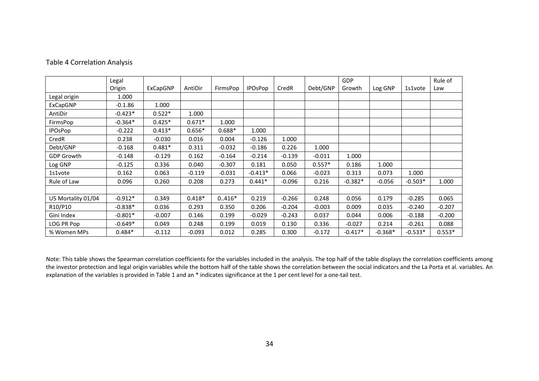|  |  |  | <b>Table 4 Correlation Analysis</b> |  |
|--|--|--|-------------------------------------|--|
|--|--|--|-------------------------------------|--|

|                    | Legal     |          |          |          |                |          |          | GDP       |           |           | Rule of  |
|--------------------|-----------|----------|----------|----------|----------------|----------|----------|-----------|-----------|-----------|----------|
|                    | Origin    | ExCapGNP | AntiDir  | FirmsPop | <b>IPOsPop</b> | CredR    | Debt/GNP | Growth    | Log GNP   | 1s1vote   | Law      |
| Legal origin       | 1.000     |          |          |          |                |          |          |           |           |           |          |
| <b>ExCapGNP</b>    | $-0.1.86$ | 1.000    |          |          |                |          |          |           |           |           |          |
| AntiDir            | $-0.423*$ | $0.522*$ | 1.000    |          |                |          |          |           |           |           |          |
| FirmsPop           | $-0.364*$ | $0.425*$ | $0.671*$ | 1.000    |                |          |          |           |           |           |          |
| <b>IPOsPop</b>     | $-0.222$  | $0.413*$ | $0.656*$ | $0.688*$ | 1.000          |          |          |           |           |           |          |
| CredR              | 0.238     | $-0.030$ | 0.016    | 0.004    | $-0.126$       | 1.000    |          |           |           |           |          |
| Debt/GNP           | $-0.168$  | $0.481*$ | 0.311    | $-0.032$ | $-0.186$       | 0.226    | 1.000    |           |           |           |          |
| <b>GDP Growth</b>  | $-0.148$  | $-0.129$ | 0.162    | $-0.164$ | $-0.214$       | $-0.139$ | $-0.011$ | 1.000     |           |           |          |
| Log GNP            | $-0.125$  | 0.336    | 0.040    | $-0.307$ | 0.181          | 0.050    | $0.557*$ | 0.186     | 1.000     |           |          |
| 1s1vote            | 0.162     | 0.063    | $-0.119$ | $-0.031$ | $-0.413*$      | 0.066    | $-0.023$ | 0.313     | 0.073     | 1.000     |          |
| Rule of Law        | 0.096     | 0.260    | 0.208    | 0.273    | $0.441*$       | $-0.096$ | 0.216    | $-0.382*$ | $-0.056$  | $-0.503*$ | 1.000    |
|                    |           |          |          |          |                |          |          |           |           |           |          |
| U5 Mortality 01/04 | $-0.912*$ | 0.349    | $0.418*$ | $0.416*$ | 0.219          | $-0.266$ | 0.248    | 0.056     | 0.179     | $-0.285$  | 0.065    |
| R10/P10            | $-0.838*$ | 0.036    | 0.293    | 0.350    | 0.206          | $-0.204$ | $-0.003$ | 0.009     | 0.035     | $-0.240$  | $-0.207$ |
| Gini Index         | $-0.801*$ | $-0.007$ | 0.146    | 0.199    | $-0.029$       | $-0.243$ | 0.037    | 0.044     | 0.006     | $-0.188$  | $-0.200$ |
| LOG PR Pop         | $-0.649*$ | 0.049    | 0.248    | 0.199    | 0.019          | 0.130    | 0.336    | $-0.027$  | 0.214     | $-0.261$  | 0.088    |
| % Women MPs        | $0.484*$  | $-0.112$ | $-0.093$ | 0.012    | 0.285          | 0.300    | $-0.172$ | $-0.417*$ | $-0.368*$ | $-0.533*$ | $0.553*$ |

Note: This table shows the Spearman correlation coefficients for the variables included in the analysis. The top half of the table displays the correlation coefficients among the investor protection and legal origin variables while the bottom half of the table shows the correlation between the social indicators and the La Porta et al. variables. An explanation of the variables is provided in Table 1 and an \* indicates significance at the 1 per cent level for a one-tail test.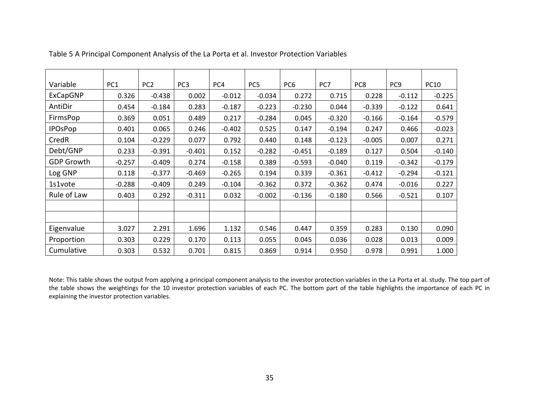| Variable          | PC <sub>1</sub> | PC <sub>2</sub> | PC <sub>3</sub> | PC4      | PC5      | PC <sub>6</sub> | PC7      | PC8      | PC <sub>9</sub> | <b>PC10</b> |
|-------------------|-----------------|-----------------|-----------------|----------|----------|-----------------|----------|----------|-----------------|-------------|
| <b>ExCapGNP</b>   | 0.326           | $-0.438$        | 0.002           | $-0.012$ | $-0.034$ | 0.272           | 0.715    | 0.228    | $-0.112$        | $-0.225$    |
| AntiDir           | 0.454           | $-0.184$        | 0.283           | $-0.187$ | $-0.223$ | $-0.230$        | 0.044    | $-0.339$ | $-0.122$        | 0.641       |
| FirmsPop          | 0.369           | 0.051           | 0.489           | 0.217    | $-0.284$ | 0.045           | $-0.320$ | $-0.166$ | $-0.164$        | $-0.579$    |
| <b>IPOsPop</b>    | 0.401           | 0.065           | 0.246           | $-0.402$ | 0.525    | 0.147           | $-0.194$ | 0.247    | 0.466           | $-0.023$    |
| CredR             | 0.104           | $-0.229$        | 0.077           | 0.792    | 0.440    | 0.148           | $-0.123$ | $-0.005$ | 0.007           | 0.271       |
| Debt/GNP          | 0.233           | $-0.391$        | $-0.401$        | 0.152    | $-0.282$ | $-0.451$        | $-0.189$ | 0.127    | 0.504           | $-0.140$    |
| <b>GDP Growth</b> | $-0.257$        | $-0.409$        | 0.274           | $-0.158$ | 0.389    | $-0.593$        | $-0.040$ | 0.119    | $-0.342$        | $-0.179$    |
| Log GNP           | 0.118           | $-0.377$        | $-0.469$        | $-0.265$ | 0.194    | 0.339           | $-0.361$ | $-0.412$ | $-0.294$        | $-0.121$    |
| 1s1vote           | $-0.288$        | $-0.409$        | 0.249           | $-0.104$ | $-0.362$ | 0.372           | $-0.362$ | 0.474    | $-0.016$        | 0.227       |
| Rule of Law       | 0.403           | 0.292           | $-0.311$        | 0.032    | $-0.002$ | $-0.136$        | $-0.180$ | 0.566    | $-0.521$        | 0.107       |
|                   |                 |                 |                 |          |          |                 |          |          |                 |             |
|                   |                 |                 |                 |          |          |                 |          |          |                 |             |
| Eigenvalue        | 3.027           | 2.291           | 1.696           | 1.132    | 0.546    | 0.447           | 0.359    | 0.283    | 0.130           | 0.090       |
| Proportion        | 0.303           | 0.229           | 0.170           | 0.113    | 0.055    | 0.045           | 0.036    | 0.028    | 0.013           | 0.009       |
| Cumulative        | 0.303           | 0.532           | 0.701           | 0.815    | 0.869    | 0.914           | 0.950    | 0.978    | 0.991           | 1.000       |

Table 5 A Principal Component Analysis of the La Porta et al. Investor Protection Variables

Note: This table shows the output from applying <sup>a</sup> principal component analysis to the investor protection variables in the La Porta et al. study. The top part of the table shows the weightings for the 10 investor protection variables of each PC. The bottom part of the table highlights the importance of each PC in explaining the investor protection variables.